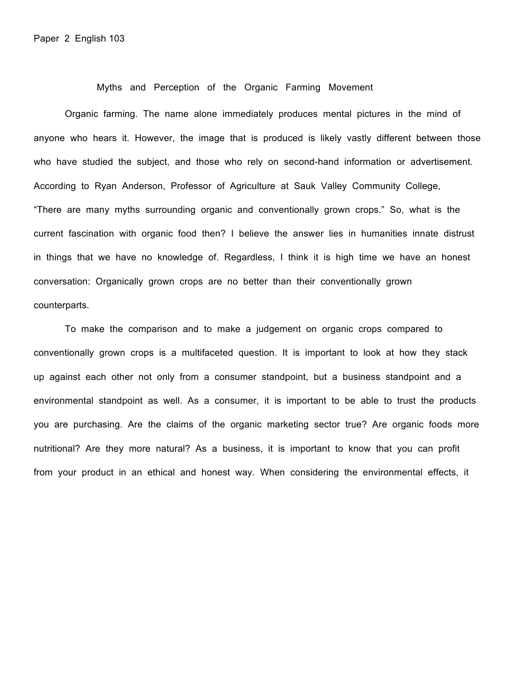Myths and Perception of the Organic Farming Movement

Organic farming. The name alone immediately produces mental pictures in the mind of anyone who hears it. However, the image that is produced is likely vastly different between those who have studied the subject, and those who rely on second-hand information or advertisement. According to Ryan Anderson, Professor of Agriculture at Sauk Valley Community College, "There are many myths surrounding organic and conventionally grown crops." So, what is the current fascination with organic food then? I believe the answer lies in humanities innate distrust in things that we have no knowledge of. Regardless, I think it is high time we have an honest conversation: Organically grown crops are no better than their conventionally grown counterparts.

To make the comparison and to make a judgement on organic crops compared to conventionally grown crops is a multifaceted question. It is important to look at how they stack up against each other not only from a consumer standpoint, but a business standpoint and a environmental standpoint as well. As a consumer, it is important to be able to trust the products you are purchasing. Are the claims of the organic marketing sector true? Are organic foods more nutritional? Are they more natural? As a business, it is important to know that you can profit from your product in an ethical and honest way. When considering the environmental effects, it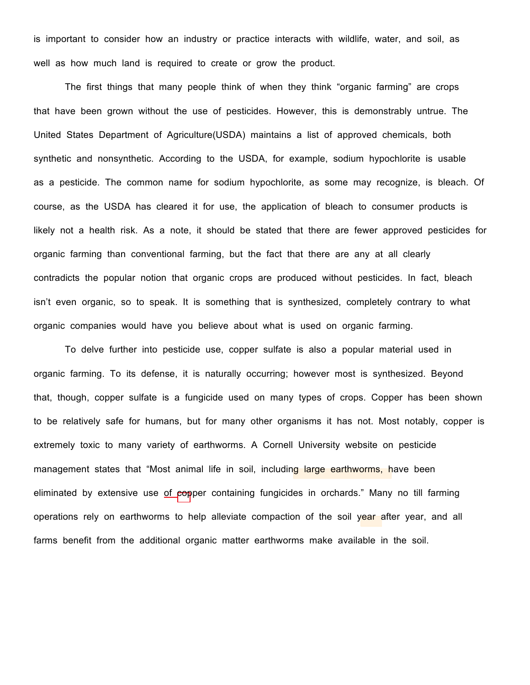is important to consider how an industry or practice interacts with wildlife, water, and soil, as well as how much land is required to create or grow the product.

The first things that many people think of when they think "organic farming" are crops that have been grown without the use of pesticides. However, this is demonstrably untrue. The United States Department of Agriculture(USDA) maintains a list of approved chemicals, both synthetic and nonsynthetic. According to the USDA, for example, sodium hypochlorite is usable as a pesticide. The common name for sodium hypochlorite, as some may recognize, is bleach. Of course, as the USDA has cleared it for use, the application of bleach to consumer products is likely not a health risk. As a note, it should be stated that there are fewer approved pesticides for organic farming than conventional farming, but the fact that there are any at all clearly contradicts the popular notion that organic crops are produced without pesticides. In fact, bleach isn't even organic, so to speak. It is something that is synthesized, completely contrary to what organic companies would have you believe about what is used on organic farming.

To delve further into pesticide use, copper sulfate is also a popular material used in organic farming. To its defense, it is naturally occurring; however most is synthesized. Beyond that, though, copper sulfate is a fungicide used on many types of crops. Copper has been shown to be relatively safe for humans, but for many other organisms it has not. Most notably, copper is extremely toxic to many variety of earthworms. A Cornell University website on pesticide management states that "Most animal life in soil, including large earthworms, have been eliminated by extensive use of copper containing fungicides in orchards." Many no till farming operations rely on earthworms to help alleviate compaction of the soil year after year, and all farms benefit from the additional organic matter earthworms make available in the soil.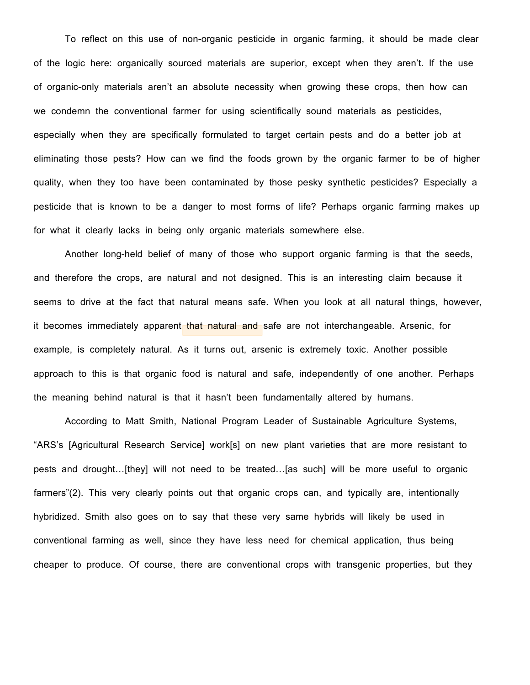To reflect on this use of non-organic pesticide in organic farming, it should be made clear of the logic here: organically sourced materials are superior, except when they aren't. If the use of organic-only materials aren't an absolute necessity when growing these crops, then how can we condemn the conventional farmer for using scientifically sound materials as pesticides, especially when they are specifically formulated to target certain pests and do a better job at eliminating those pests? How can we find the foods grown by the organic farmer to be of higher quality, when they too have been contaminated by those pesky synthetic pesticides? Especially a pesticide that is known to be a danger to most forms of life? Perhaps organic farming makes up for what it clearly lacks in being only organic materials somewhere else.

Another long-held belief of many of those who support organic farming is that the seeds, and therefore the crops, are natural and not designed. This is an interesting claim because it seems to drive at the fact that natural means safe. When you look at all natural things, however, it becomes immediately apparent that natural and safe are not interchangeable. Arsenic, for example, is completely natural. As it turns out, arsenic is extremely toxic. Another possible approach to this is that organic food is natural and safe, independently of one another. Perhaps the meaning behind natural is that it hasn't been fundamentally altered by humans.

According to Matt Smith, National Program Leader of Sustainable Agriculture Systems, "ARS's [Agricultural Research Service] work[s] on new plant varieties that are more resistant to pests and drought…[they] will not need to be treated…[as such] will be more useful to organic farmers"(2). This very clearly points out that organic crops can, and typically are, intentionally hybridized. Smith also goes on to say that these very same hybrids will likely be used in conventional farming as well, since they have less need for chemical application, thus being cheaper to produce. Of course, there are conventional crops with transgenic properties, but they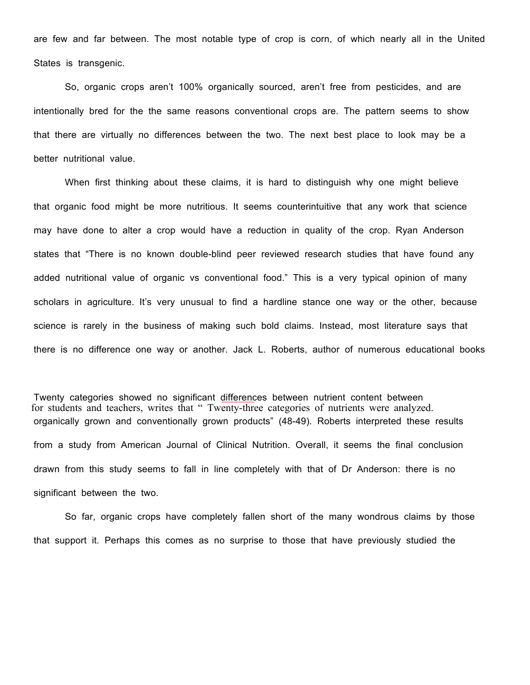are few and far between. The most notable type of crop is corn, of which nearly all in the United States is transgenic.

So, organic crops aren't 100% organically sourced, aren't free from pesticides, and are intentionally bred for the the same reasons conventional crops are. The pattern seems to show that there are virtually no differences between the two. The next best place to look may be a better nutritional value.

When first thinking about these claims, it is hard to distinguish why one might believe that organic food might be more nutritious. It seems counterintuitive that any work that science may have done to alter a crop would have a reduction in quality of the crop. Ryan Anderson states that "There is no known double-blind peer reviewed research studies that have found any added nutritional value of organic vs conventional food." This is a very typical opinion of many scholars in agriculture. It's very unusual to find a hardline stance one way or the other, because science is rarely in the business of making such bold claims. Instead, most literature says that there is no difference one way or another. Jack L. Roberts, author of numerous educational books

for students and teachers, writes that " Twenty-three categories of nutrients were analyzed. Twenty categories showed no significant differences between nutrient content between organically grown and conventionally grown products" (48-49). Roberts interpreted these results from a study from American Journal of Clinical Nutrition. Overall, it seems the final conclusion drawn from this study seems to fall in line completely with that of Dr Anderson: there is no significant between the two.

So far, organic crops have completely fallen short of the many wondrous claims by those that support it. Perhaps this comes as no surprise to those that have previously studied the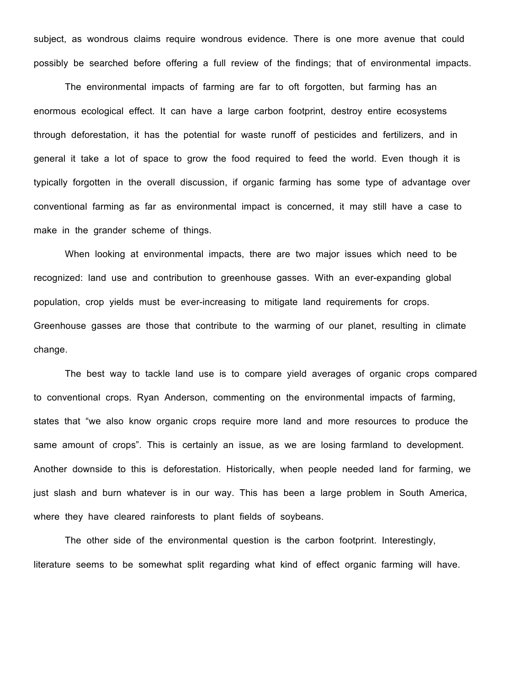subject, as wondrous claims require wondrous evidence. There is one more avenue that could possibly be searched before offering a full review of the findings; that of environmental impacts.

The environmental impacts of farming are far to oft forgotten, but farming has an enormous ecological effect. It can have a large carbon footprint, destroy entire ecosystems through deforestation, it has the potential for waste runoff of pesticides and fertilizers, and in general it take a lot of space to grow the food required to feed the world. Even though it is typically forgotten in the overall discussion, if organic farming has some type of advantage over conventional farming as far as environmental impact is concerned, it may still have a case to make in the grander scheme of things.

When looking at environmental impacts, there are two major issues which need to be recognized: land use and contribution to greenhouse gasses. With an ever-expanding global population, crop yields must be ever-increasing to mitigate land requirements for crops. Greenhouse gasses are those that contribute to the warming of our planet, resulting in climate change.

The best way to tackle land use is to compare yield averages of organic crops compared to conventional crops. Ryan Anderson, commenting on the environmental impacts of farming, states that "we also know organic crops require more land and more resources to produce the same amount of crops". This is certainly an issue, as we are losing farmland to development. Another downside to this is deforestation. Historically, when people needed land for farming, we just slash and burn whatever is in our way. This has been a large problem in South America, where they have cleared rainforests to plant fields of soybeans.

The other side of the environmental question is the carbon footprint. Interestingly, literature seems to be somewhat split regarding what kind of effect organic farming will have.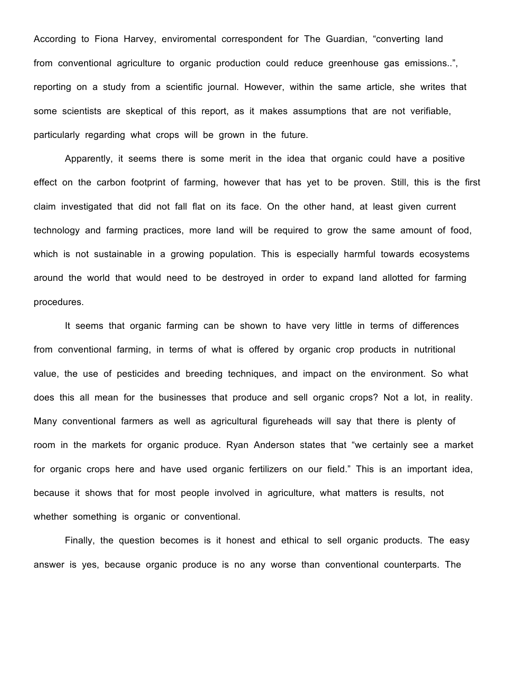According to Fiona Harvey, enviromental correspondent for The Guardian, "converting land from conventional agriculture to organic production could reduce greenhouse gas emissions..", reporting on a study from a scientific journal. However, within the same article, she writes that some scientists are skeptical of this report, as it makes assumptions that are not verifiable, particularly regarding what crops will be grown in the future.

Apparently, it seems there is some merit in the idea that organic could have a positive effect on the carbon footprint of farming, however that has yet to be proven. Still, this is the first claim investigated that did not fall flat on its face. On the other hand, at least given current technology and farming practices, more land will be required to grow the same amount of food, which is not sustainable in a growing population. This is especially harmful towards ecosystems around the world that would need to be destroyed in order to expand land allotted for farming procedures.

It seems that organic farming can be shown to have very little in terms of differences from conventional farming, in terms of what is offered by organic crop products in nutritional value, the use of pesticides and breeding techniques, and impact on the environment. So what does this all mean for the businesses that produce and sell organic crops? Not a lot, in reality. Many conventional farmers as well as agricultural figureheads will say that there is plenty of room in the markets for organic produce. Ryan Anderson states that "we certainly see a market for organic crops here and have used organic fertilizers on our field." This is an important idea, because it shows that for most people involved in agriculture, what matters is results, not whether something is organic or conventional.

Finally, the question becomes is it honest and ethical to sell organic products. The easy answer is yes, because organic produce is no any worse than conventional counterparts. The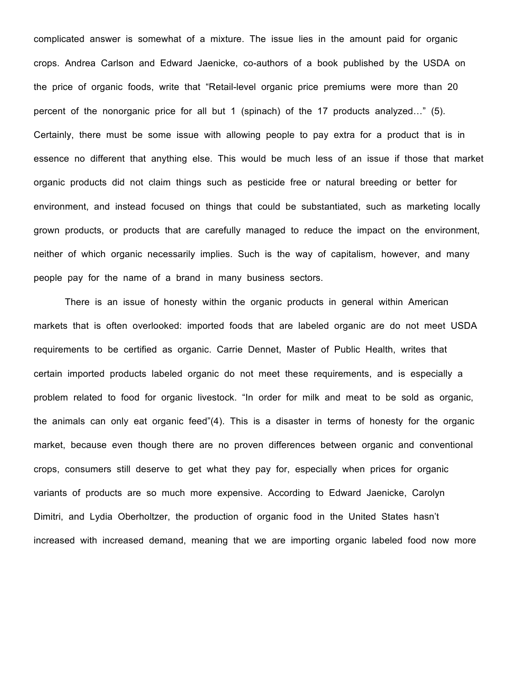complicated answer is somewhat of a mixture. The issue lies in the amount paid for organic crops. Andrea Carlson and Edward Jaenicke, co-authors of a book published by the USDA on the price of organic foods, write that "Retail-level organic price premiums were more than 20 percent of the nonorganic price for all but 1 (spinach) of the 17 products analyzed…" (5). Certainly, there must be some issue with allowing people to pay extra for a product that is in essence no different that anything else. This would be much less of an issue if those that market organic products did not claim things such as pesticide free or natural breeding or better for environment, and instead focused on things that could be substantiated, such as marketing locally grown products, or products that are carefully managed to reduce the impact on the environment, neither of which organic necessarily implies. Such is the way of capitalism, however, and many people pay for the name of a brand in many business sectors.

There is an issue of honesty within the organic products in general within American markets that is often overlooked: imported foods that are labeled organic are do not meet USDA requirements to be certified as organic. Carrie Dennet, Master of Public Health, writes that certain imported products labeled organic do not meet these requirements, and is especially a problem related to food for organic livestock. "In order for milk and meat to be sold as organic, the animals can only eat organic feed"(4). This is a disaster in terms of honesty for the organic market, because even though there are no proven differences between organic and conventional crops, consumers still deserve to get what they pay for, especially when prices for organic variants of products are so much more expensive. According to Edward Jaenicke, Carolyn Dimitri, and Lydia Oberholtzer, the production of organic food in the United States hasn't increased with increased demand, meaning that we are importing organic labeled food now more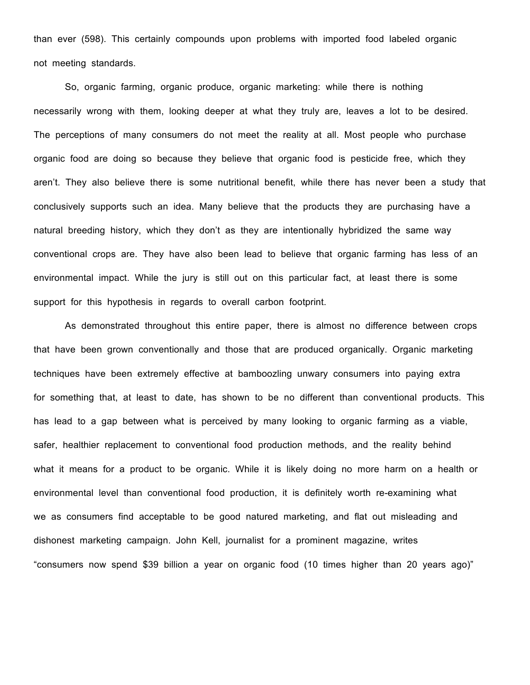than ever (598). This certainly compounds upon problems with imported food labeled organic not meeting standards.

So, organic farming, organic produce, organic marketing: while there is nothing necessarily wrong with them, looking deeper at what they truly are, leaves a lot to be desired. The perceptions of many consumers do not meet the reality at all. Most people who purchase organic food are doing so because they believe that organic food is pesticide free, which they aren't. They also believe there is some nutritional benefit, while there has never been a study that conclusively supports such an idea. Many believe that the products they are purchasing have a natural breeding history, which they don't as they are intentionally hybridized the same way conventional crops are. They have also been lead to believe that organic farming has less of an environmental impact. While the jury is still out on this particular fact, at least there is some support for this hypothesis in regards to overall carbon footprint.

As demonstrated throughout this entire paper, there is almost no difference between crops that have been grown conventionally and those that are produced organically. Organic marketing techniques have been extremely effective at bamboozling unwary consumers into paying extra for something that, at least to date, has shown to be no different than conventional products. This has lead to a gap between what is perceived by many looking to organic farming as a viable, safer, healthier replacement to conventional food production methods, and the reality behind what it means for a product to be organic. While it is likely doing no more harm on a health or environmental level than conventional food production, it is definitely worth re-examining what we as consumers find acceptable to be good natured marketing, and flat out misleading and dishonest marketing campaign. John Kell, journalist for a prominent magazine, writes "consumers now spend \$39 billion a year on organic food (10 times higher than 20 years ago)"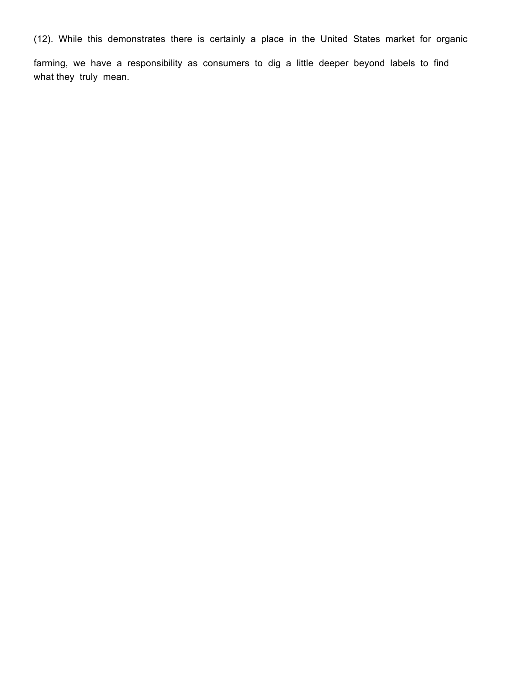(12). While this demonstrates there is certainly a place in the United States market for organic

farming, we have a responsibility as consumers to dig a little deeper beyond labels to find what they truly mean.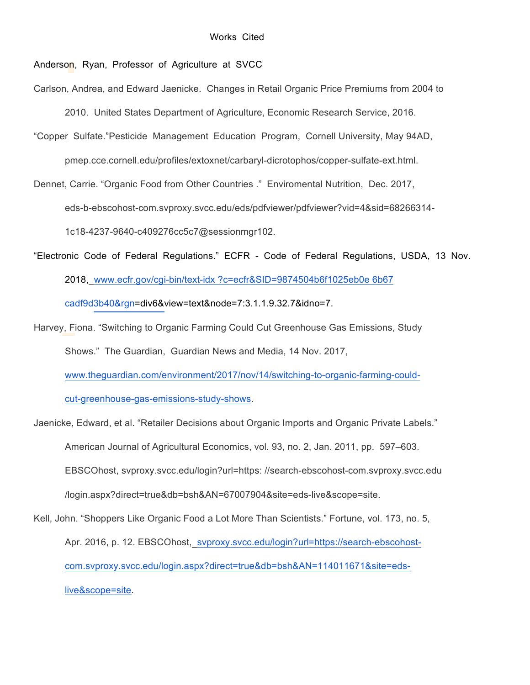## Anderson, Ryan, Professor of Agriculture at SVCC

Carlson, Andrea, and Edward Jaenicke. Changes in Retail Organic Price Premiums from 2004 to

2010. United States Department of Agriculture, Economic Research Service, 2016.

"Copper Sulfate."Pesticide Management Education Program, Cornell University, May 94AD,

pmep.cce.cornell.edu/profiles/extoxnet/carbaryl-dicrotophos/copper-sulfate-ext.html.

Dennet, Carrie. "Organic Food from Other Countries ." Enviromental Nutrition, Dec. 2017,

eds-b-ebscohost-com.svproxy.svcc.edu/eds/pdfviewer/pdfviewer?vid=4&sid=68266314-

1c18-4237-9640-c409276cc5c7@sessionmgr102.

"Electronic Code of Federal Regulations." ECFR - Code of Federal Regulations, USDA, 13 Nov. 2018, www.ecfr.gov/cgi-bin/text-idx ?c=ecfr&SID=9874504b6f1025eb0e 6b67 cadf9d3b40&rgn=div6&view=text&node=7:3.1.1.9.32.7&idno=7.

Harvey, Fiona. "Switching to Organic Farming Could Cut Greenhouse Gas Emissions, Study Shows." The Guardian, Guardian News and Media, 14 Nov. 2017, www.theguardian.com/environment/2017/nov/14/switching-to-organic-farming-could-

cut-greenhouse-gas-emissions-study-shows.

Jaenicke, Edward, et al. "Retailer Decisions about Organic Imports and Organic Private Labels." American Journal of Agricultural Economics, vol. 93, no. 2, Jan. 2011, pp. 597–603. EBSCOhost, svproxy.svcc.edu/login?url=https: //search-ebscohost-com.svproxy.svcc.edu /login.aspx?direct=true&db=bsh&AN=67007904&site=eds-live&scope=site. Kell, John. "Shoppers Like Organic Food a Lot More Than Scientists." Fortune, vol. 173, no. 5,

Apr. 2016, p. 12. EBSCOhost, svproxy.svcc.edu/login?url=https://search-ebscohostcom.svproxy.svcc.edu/login.aspx?direct=true&db=bsh&AN=114011671&site=edslive&scope=site.